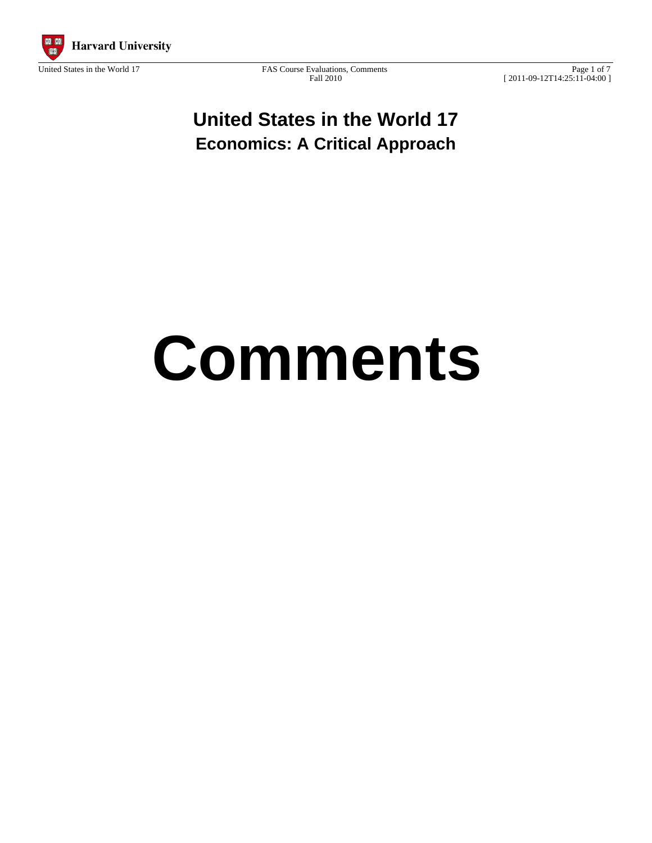

Page 1 of 7 [ 2011-09-12T14:25:11-04:00 ]

# **United States in the World 17 Economics: A Critical Approach**

# **Comments**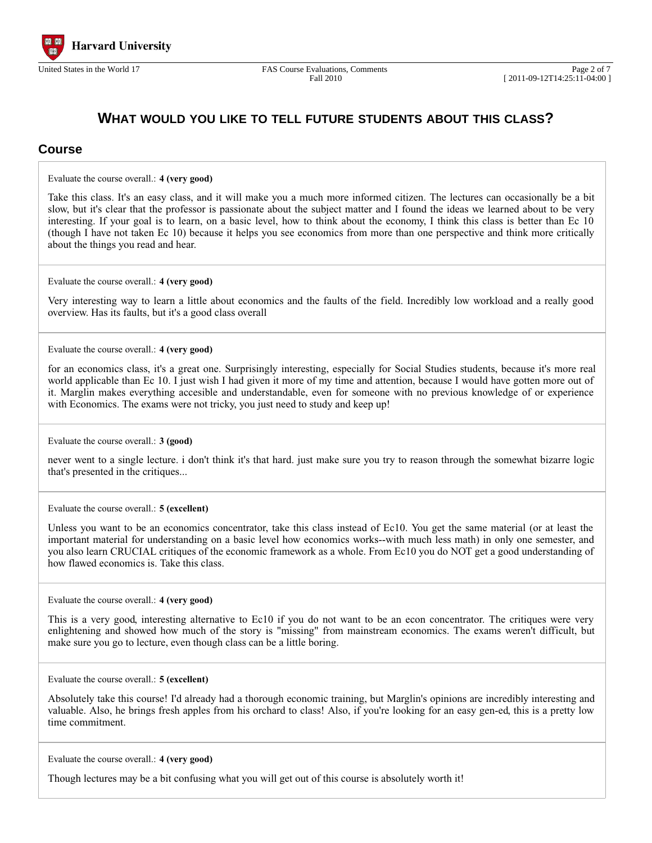

### **WHAT WOULD YOU LIKE TO TELL FUTURE STUDENTS ABOUT THIS CLASS?**

#### **Course**

Evaluate the course overall.: **4 (very good)**

Take this class. It's an easy class, and it will make you a much more informed citizen. The lectures can occasionally be a bit slow, but it's clear that the professor is passionate about the subject matter and I found the ideas we learned about to be very interesting. If your goal is to learn, on a basic level, how to think about the economy, I think this class is better than Ec 10 (though I have not taken Ec 10) because it helps you see economics from more than one perspective and think more critically about the things you read and hear.

Evaluate the course overall.: **4 (very good)**

Very interesting way to learn a little about economics and the faults of the field. Incredibly low workload and a really good overview. Has its faults, but it's a good class overall

Evaluate the course overall.: **4 (very good)**

for an economics class, it's a great one. Surprisingly interesting, especially for Social Studies students, because it's more real world applicable than Ec 10. I just wish I had given it more of my time and attention, because I would have gotten more out of it. Marglin makes everything accesible and understandable, even for someone with no previous knowledge of or experience with Economics. The exams were not tricky, you just need to study and keep up!

Evaluate the course overall.: **3 (good)**

never went to a single lecture. i don't think it's that hard. just make sure you try to reason through the somewhat bizarre logic that's presented in the critiques...

Evaluate the course overall.: **5 (excellent)**

Unless you want to be an economics concentrator, take this class instead of Ec10. You get the same material (or at least the important material for understanding on a basic level how economics works--with much less math) in only one semester, and you also learn CRUCIAL critiques of the economic framework as a whole. From Ec10 you do NOT get a good understanding of how flawed economics is. Take this class.

Evaluate the course overall.: **4 (very good)**

This is a very good, interesting alternative to Ec10 if you do not want to be an econ concentrator. The critiques were very enlightening and showed how much of the story is "missing" from mainstream economics. The exams weren't difficult, but make sure you go to lecture, even though class can be a little boring.

Evaluate the course overall.: **5 (excellent)**

Absolutely take this course! I'd already had a thorough economic training, but Marglin's opinions are incredibly interesting and valuable. Also, he brings fresh apples from his orchard to class! Also, if you're looking for an easy gen-ed, this is a pretty low time commitment.

Evaluate the course overall.: **4 (very good)**

Though lectures may be a bit confusing what you will get out of this course is absolutely worth it!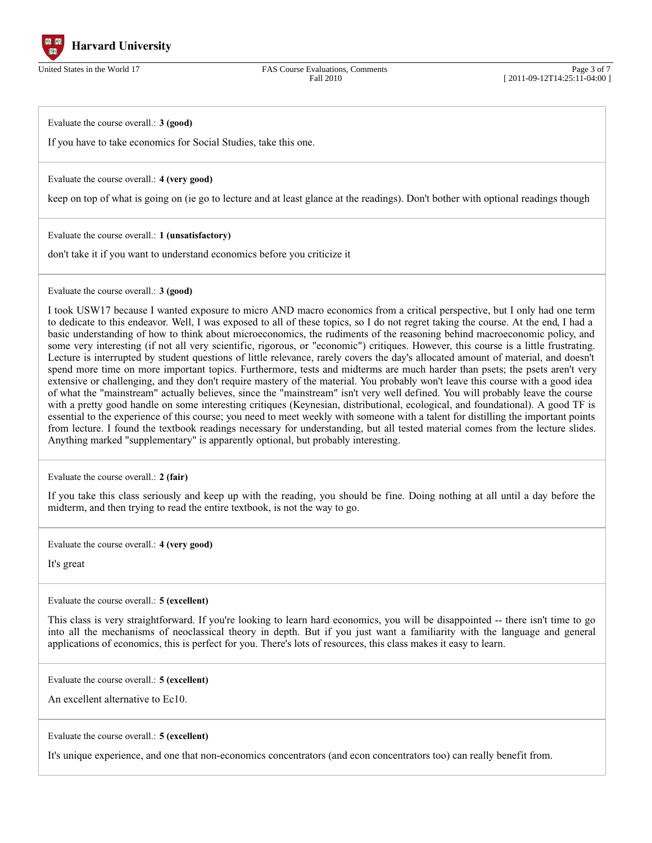

Page 3 of 7 [ 2011-09-12T14:25:11-04:00 ]

Evaluate the course overall.: **3 (good)**

If you have to take economics for Social Studies, take this one.

Evaluate the course overall.: **4 (very good)**

keep on top of what is going on (ie go to lecture and at least glance at the readings). Don't bother with optional readings though

Evaluate the course overall.: **1 (unsatisfactory)**

don't take it if you want to understand economics before you criticize it

Evaluate the course overall.: **3 (good)**

I took USW17 because I wanted exposure to micro AND macro economics from a critical perspective, but I only had one term to dedicate to this endeavor. Well, I was exposed to all of these topics, so I do not regret taking the course. At the end, I had a basic understanding of how to think about microeconomics, the rudiments of the reasoning behind macroeconomic policy, and some very interesting (if not all very scientific, rigorous, or "economic") critiques. However, this course is a little frustrating. Lecture is interrupted by student questions of little relevance, rarely covers the day's allocated amount of material, and doesn't spend more time on more important topics. Furthermore, tests and midterms are much harder than psets; the psets aren't very extensive or challenging, and they don't require mastery of the material. You probably won't leave this course with a good idea of what the "mainstream" actually believes, since the "mainstream" isn't very well defined. You will probably leave the course with a pretty good handle on some interesting critiques (Keynesian, distributional, ecological, and foundational). A good TF is essential to the experience of this course; you need to meet weekly with someone with a talent for distilling the important points from lecture. I found the textbook readings necessary for understanding, but all tested material comes from the lecture slides. Anything marked "supplementary" is apparently optional, but probably interesting.

Evaluate the course overall.: **2 (fair)**

If you take this class seriously and keep up with the reading, you should be fine. Doing nothing at all until a day before the midterm, and then trying to read the entire textbook, is not the way to go.

Evaluate the course overall.: **4 (very good)**

It's great

Evaluate the course overall.: **5 (excellent)**

This class is very straightforward. If you're looking to learn hard economics, you will be disappointed -- there isn't time to go into all the mechanisms of neoclassical theory in depth. But if you just want a familiarity with the language and general applications of economics, this is perfect for you. There's lots of resources, this class makes it easy to learn.

Evaluate the course overall.: **5 (excellent)**

An excellent alternative to Ec10.

Evaluate the course overall.: **5 (excellent)**

It's unique experience, and one that non-economics concentrators (and econ concentrators too) can really benefit from.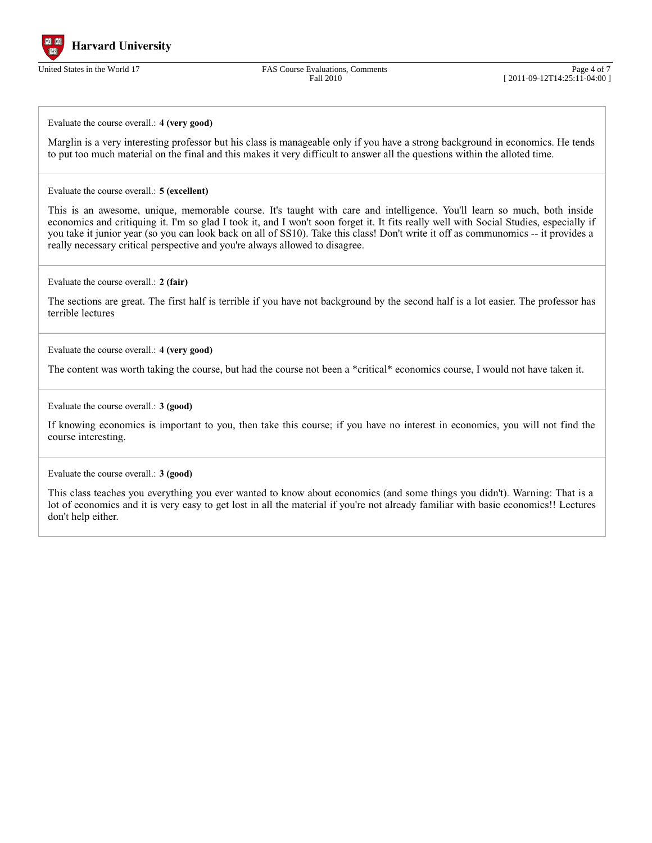

Page 4 of 7 [ 2011-09-12T14:25:11-04:00 ]

Evaluate the course overall.: **4 (very good)**

Marglin is a very interesting professor but his class is manageable only if you have a strong background in economics. He tends to put too much material on the final and this makes it very difficult to answer all the questions within the alloted time.

Evaluate the course overall.: **5 (excellent)**

This is an awesome, unique, memorable course. It's taught with care and intelligence. You'll learn so much, both inside economics and critiquing it. I'm so glad I took it, and I won't soon forget it. It fits really well with Social Studies, especially if you take it junior year (so you can look back on all of SS10). Take this class! Don't write it off as communomics -- it provides a really necessary critical perspective and you're always allowed to disagree.

Evaluate the course overall.: **2 (fair)**

The sections are great. The first half is terrible if you have not background by the second half is a lot easier. The professor has terrible lectures

Evaluate the course overall.: **4 (very good)**

The content was worth taking the course, but had the course not been a \*critical\* economics course, I would not have taken it.

Evaluate the course overall.: **3 (good)**

If knowing economics is important to you, then take this course; if you have no interest in economics, you will not find the course interesting.

Evaluate the course overall.: **3 (good)**

This class teaches you everything you ever wanted to know about economics (and some things you didn't). Warning: That is a lot of economics and it is very easy to get lost in all the material if you're not already familiar with basic economics!! Lectures don't help either.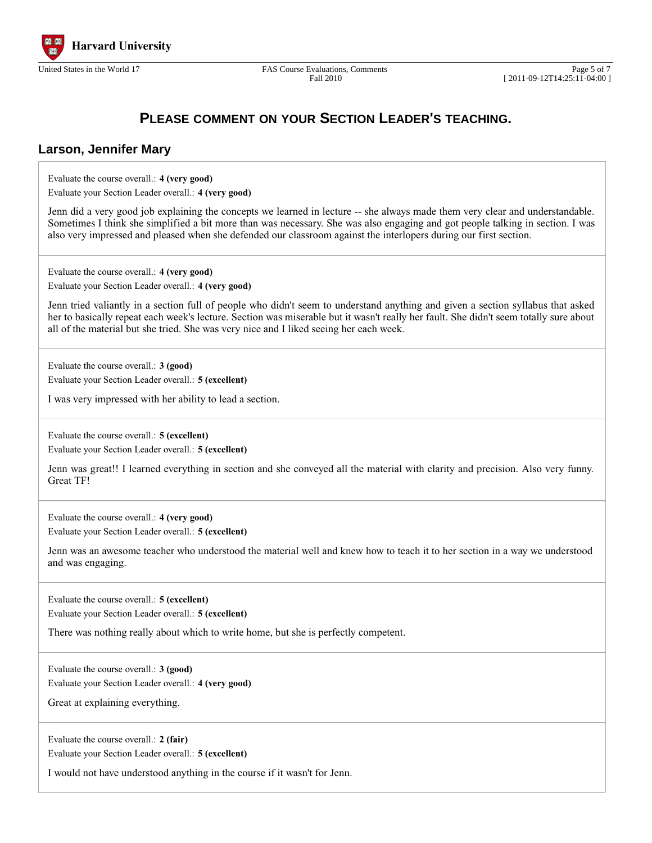

Fall 2010

## **PLEASE COMMENT ON YOUR SECTION LEADER'S TEACHING.**

#### **Larson, Jennifer Mary**

Evaluate the course overall.: **4 (very good)**

| Evaluate your Section Leader overall.: 4 (very good) |  |
|------------------------------------------------------|--|
|------------------------------------------------------|--|

Jenn did a very good job explaining the concepts we learned in lecture -- she always made them very clear and understandable. Sometimes I think she simplified a bit more than was necessary. She was also engaging and got people talking in section. I was also very impressed and pleased when she defended our classroom against the interlopers during our first section.

Evaluate the course overall.: **4 (very good)** Evaluate your Section Leader overall.: **4 (very good)**

Jenn tried valiantly in a section full of people who didn't seem to understand anything and given a section syllabus that asked her to basically repeat each week's lecture. Section was miserable but it wasn't really her fault. She didn't seem totally sure about all of the material but she tried. She was very nice and I liked seeing her each week.

Evaluate the course overall.: **3 (good)**

Evaluate your Section Leader overall.: **5 (excellent)**

I was very impressed with her ability to lead a section.

Evaluate the course overall.: **5 (excellent)** Evaluate your Section Leader overall.: **5 (excellent)**

Jenn was great!! I learned everything in section and she conveyed all the material with clarity and precision. Also very funny. Great TF!

Evaluate the course overall.: **4 (very good)**

Evaluate your Section Leader overall.: **5 (excellent)**

Jenn was an awesome teacher who understood the material well and knew how to teach it to her section in a way we understood and was engaging.

Evaluate the course overall.: **5 (excellent)** Evaluate your Section Leader overall.: **5 (excellent)**

There was nothing really about which to write home, but she is perfectly competent.

Evaluate the course overall.: **3 (good)** Evaluate your Section Leader overall.: **4 (very good)**

Great at explaining everything.

Evaluate the course overall.: **2 (fair)** Evaluate your Section Leader overall.: **5 (excellent)**

I would not have understood anything in the course if it wasn't for Jenn.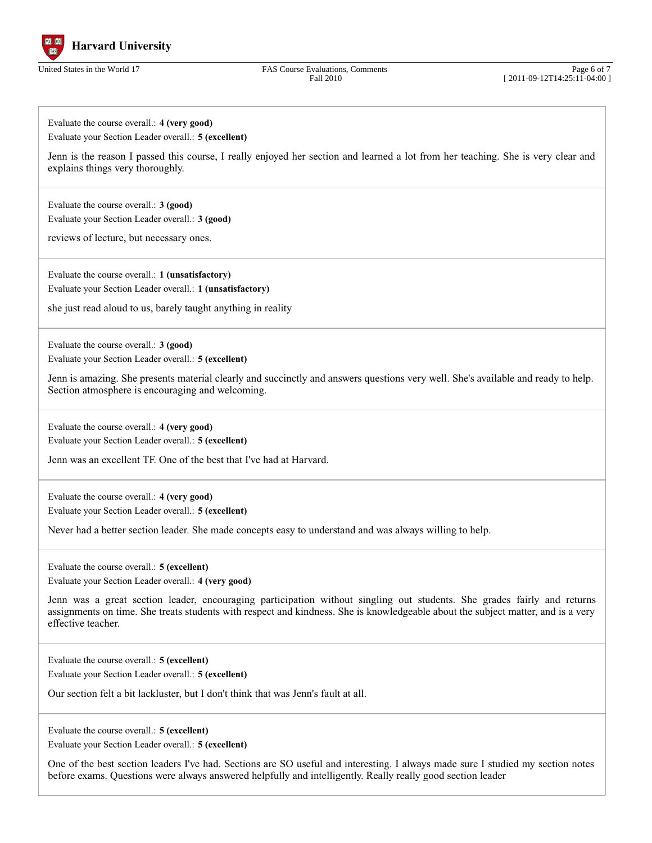

Page 6 of 7 [ 2011-09-12T14:25:11-04:00 ]

Evaluate the course overall.: **4 (very good)** Evaluate your Section Leader overall.: **5 (excellent)**

Jenn is the reason I passed this course, I really enjoyed her section and learned a lot from her teaching. She is very clear and explains things very thoroughly.

Evaluate the course overall.: **3 (good)** Evaluate your Section Leader overall.: **3 (good)**

reviews of lecture, but necessary ones.

Evaluate the course overall.: **1 (unsatisfactory)** Evaluate your Section Leader overall.: **1 (unsatisfactory)**

she just read aloud to us, barely taught anything in reality

Evaluate the course overall.: **3 (good)**

Evaluate your Section Leader overall.: **5 (excellent)**

Jenn is amazing. She presents material clearly and succinctly and answers questions very well. She's available and ready to help. Section atmosphere is encouraging and welcoming.

Evaluate the course overall.: **4 (very good)** Evaluate your Section Leader overall.: **5 (excellent)**

Jenn was an excellent TF. One of the best that I've had at Harvard.

Evaluate the course overall.: **4 (very good)** Evaluate your Section Leader overall.: **5 (excellent)**

Never had a better section leader. She made concepts easy to understand and was always willing to help.

Evaluate the course overall.: **5 (excellent)**

Evaluate your Section Leader overall.: **4 (very good)**

Jenn was a great section leader, encouraging participation without singling out students. She grades fairly and returns assignments on time. She treats students with respect and kindness. She is knowledgeable about the subject matter, and is a very effective teacher.

Evaluate the course overall.: **5 (excellent)**

Evaluate your Section Leader overall.: **5 (excellent)**

Our section felt a bit lackluster, but I don't think that was Jenn's fault at all.

Evaluate the course overall.: **5 (excellent)**

Evaluate your Section Leader overall.: **5 (excellent)**

One of the best section leaders I've had. Sections are SO useful and interesting. I always made sure I studied my section notes before exams. Questions were always answered helpfully and intelligently. Really really good section leader